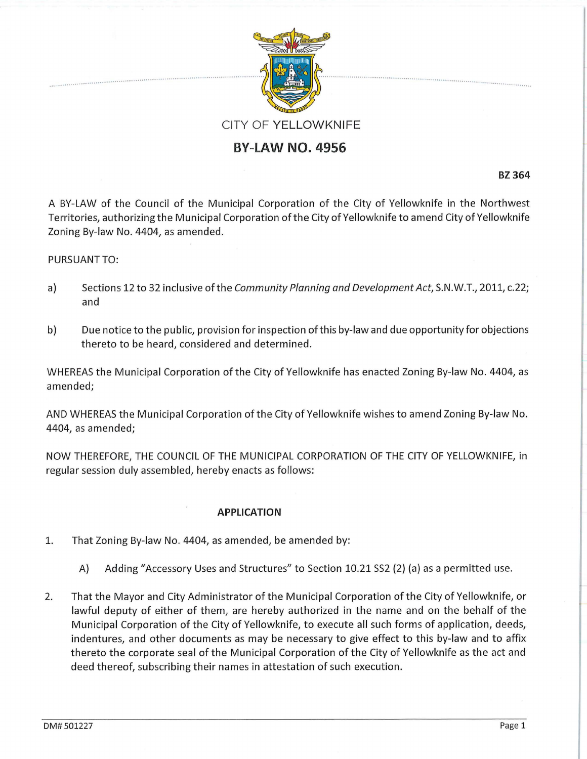

## **BY-LAW NO. 4956**

**BZ364** 

A BY-LAW of the Council of the Municipal Corporation of the City of Yellowknife in the Northwest Territories, authorizing the Municipal Corporation of the City of Yellowknife to amend City of Yellowknife Zoning By-law No. 4404, as amended.

## PURSUANT TO:

- a) Sections 12 to 32 inclusive of the Community Planning and Development Act, S.N.W.T., 2011, c.22; and
- b) Due notice to the public, provision for inspection of this by-law and due opportunity for objections thereto to be heard, considered and determined.

WHEREAS the Municipal Corporation of the City of Yellowknife has enacted Zoning By-law No. 4404, as amended;

AND WHEREAS the Municipal Corporation of the City of Yellowknife wishes to amend Zoning By-law No. 4404, as amended;

NOW THEREFORE, THE COUNCIL OF THE MUNICIPAL CORPORATION OF THE CITY OF YELLOWKNIFE, in regular session duly assembled, hereby enacts as follows:

## **APPLICATION**

- 1. That Zoning By-law No. 4404, as amended, be amended by:
	- A) Adding "Accessory Uses and Structures" to Section 10.21 SS2 (2) (a) as a permitted use.
- 2. That the Mayor and City Administrator of the Municipal Corporation ofthe City of Yellowknife, or lawful deputy of either of them, are hereby authorized in the name and on the behalf of the Municipal Corporation of the City of Yellowknife, to execute all such forms of application, deeds, indentures, and other documents as may be necessary to give effect to this by-law and to affix thereto the corporate seal of the Municipal Corporation of the City of Yellowknife as the act and deed thereof, subscribing their names in attestation of such execution.